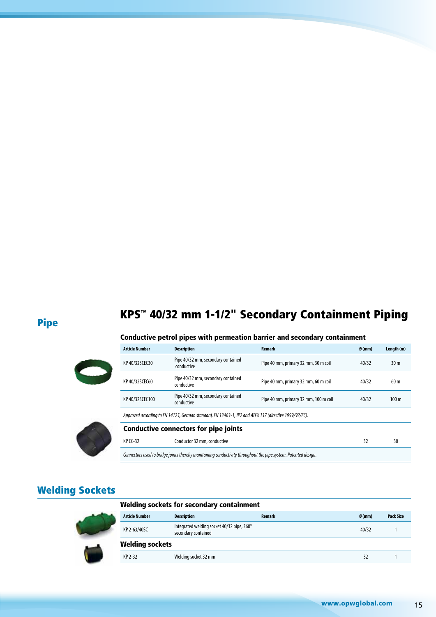# KPS™ 40/32 mm 1-1/2" Secondary Containment Piping Pipe

|  | Conductive petrol pipes with permeation barrier and secondary containment |  |
|--|---------------------------------------------------------------------------|--|
|  |                                                                           |  |

| <b>Article Number</b>                                                                                 | <b>Description</b>                               | Remark                                | Ø(mm) | Length (m)       |
|-------------------------------------------------------------------------------------------------------|--------------------------------------------------|---------------------------------------|-------|------------------|
| KP 40/32SCEC30                                                                                        | Pipe 40/32 mm, secondary contained<br>conductive | Pipe 40 mm, primary 32 mm, 30 m coil  | 40/32 | 30 <sub>m</sub>  |
| KP 40/32SCEC60                                                                                        | Pipe 40/32 mm, secondary contained<br>conductive | Pipe 40 mm, primary 32 mm, 60 m coil  | 40/32 | 60 <sub>m</sub>  |
| KP 40/32SCEC100                                                                                       | Pipe 40/32 mm, secondary contained<br>conductive | Pipe 40 mm, primary 32 mm, 100 m coil | 40/32 | 100 <sub>m</sub> |
| Approved according to EN 14125, German standard, EN 13463-1, IP2 and ATEX 137 (directive 1999/92/EC). |                                                  |                                       |       |                  |
| <b>Conductive connectors for pipe joints</b>                                                          |                                                  |                                       |       |                  |
| <b>KP CC-32</b>                                                                                       | Conductor 32 mm, conductive                      |                                       | 32    | 30               |



| Connectors used to bridge joints thereby maintaining conductivity throughout the pipe system. Patented design. |  |
|----------------------------------------------------------------------------------------------------------------|--|
|                                                                                                                |  |

#### Welding Sockets

#### Welding sockets for secondary containment



| <b>Article Number</b>  | <b>Description</b>                                                | <b>Remark</b> | $\emptyset$ (mm) | <b>Pack Size</b> |
|------------------------|-------------------------------------------------------------------|---------------|------------------|------------------|
| KP 2-63/40SC           | Integrated welding socket 40/32 pipe, 360°<br>secondary contained |               | 40/32            |                  |
| <b>Welding sockets</b> |                                                                   |               |                  |                  |
| KP 2-32                | Welding socket 32 mm                                              |               | 32               |                  |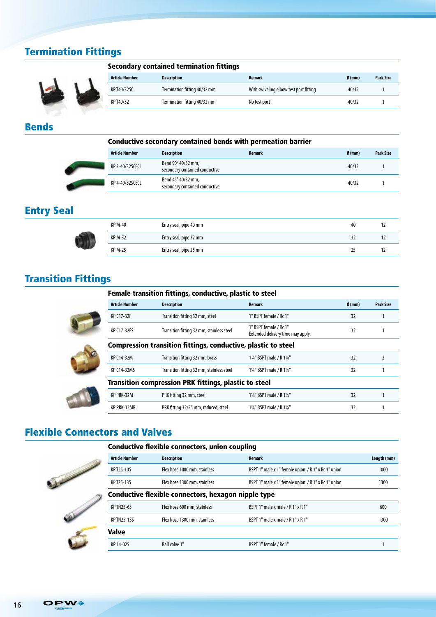## Termination Fittings



|  |  | Secondary contained termination fittings |  |
|--|--|------------------------------------------|--|
|--|--|------------------------------------------|--|

| <b>Article Number</b> | <b>Description</b>           | Remark                                 | $\emptyset$ (mm) | <b>Pack Size</b> |
|-----------------------|------------------------------|----------------------------------------|------------------|------------------|
| KPT40/32SC            | Termination fitting 40/32 mm | With swiveling elbow test port fitting | 40/32            |                  |
| KP T40/32             | Termination fitting 40/32 mm | No test port                           | 40/32            |                  |

#### Bends

|                       | <b>Conductive secondary contained bends with permeation barrier</b> |        |                  |                  |
|-----------------------|---------------------------------------------------------------------|--------|------------------|------------------|
| <b>Article Number</b> | <b>Description</b>                                                  | Remark | $\emptyset$ (mm) | <b>Pack Size</b> |
| KP 3-40/32SCECL       | Bend 90° 40/32 mm,<br>secondary contained conductive                |        | 40/32            |                  |
| KP 4-40/32SCECL       | Bend 45° 40/32 mm,<br>secondary contained conductive                |        | 40/32            |                  |

### Entry Seal

| <b>KP M-40</b> | Entry seal, pipe 40 mm | 40 |  |
|----------------|------------------------|----|--|
| <b>KP M-32</b> | Entry seal, pipe 32 mm | 32 |  |
| <b>KP M-25</b> | Entry seal, pipe 25 mm | 25 |  |

### Transition Fittings

|                       | Female transition fittings, conductive, plastic to steel             |                                                             |       |                  |
|-----------------------|----------------------------------------------------------------------|-------------------------------------------------------------|-------|------------------|
| <b>Article Number</b> | <b>Description</b>                                                   | <b>Remark</b>                                               | Ø(mm) | <b>Pack Size</b> |
| KP C17-32F            | Transition fitting 32 mm, steel                                      | 1" BSPT female / Rc 1"                                      | 32    |                  |
| KP C17-32FS           | Transition fitting 32 mm, stainless steel                            | 1" BSPT female / Rc 1"<br>Extended delivery time may apply. | 32    |                  |
|                       | <b>Compression transition fittings, conductive, plastic to steel</b> |                                                             |       |                  |
| KP C14-32M            | Transition fitting 32 mm, brass                                      | 11/4" BSPT male / R 11/4"                                   | 32    |                  |
| KP C14-32MS           | Transition fitting 32 mm, stainless steel                            | 11/4" BSPT male / R 11/4"                                   | 32    |                  |
|                       | <b>Transition compression PRK fittings, plastic to steel</b>         |                                                             |       |                  |
| KP PRK-32M            | PRK fitting 32 mm, steel                                             | 11/4" BSPT male / R 11/4"                                   | 32    |                  |
| <b>KP PRK-32MR</b>    | PRK fitting 32/25 mm, reduced, steel                                 | 11/4" BSPT male / R 11/4"                                   | 32    |                  |

### Flexible Connectors and Valves

|                                                     |                       | <b>Conductive flexible connectors, union coupling</b> |                                                     |             |
|-----------------------------------------------------|-----------------------|-------------------------------------------------------|-----------------------------------------------------|-------------|
|                                                     | <b>Article Number</b> | <b>Description</b>                                    | Remark                                              | Length (mm) |
|                                                     | KP T25-10S            | Flex hose 1000 mm, stainless                          | BSPT 1" male x 1" female union / R 1" x Rc 1" union | 1000        |
|                                                     | KPT25-13S             | Flex hose 1300 mm, stainless                          | BSPT 1" male x 1" female union / R 1" x Rc 1" union | 1300        |
| Conductive flexible connectors, hexagon nipple type |                       |                                                       |                                                     |             |
|                                                     | <b>KPTN25-6S</b>      | Flex hose 600 mm, stainless                           | BSPT 1" male x male / R 1" x R 1"                   | 600         |
|                                                     | <b>KPTN25-13S</b>     | Flex hose 1300 mm, stainless                          | BSPT 1" male x male / R 1" x R 1"                   | 1300        |
|                                                     | Valve                 |                                                       |                                                     |             |
|                                                     | KP 14-025             | Ball valve 1"                                         | BSPT 1" female / Rc 1"                              |             |
|                                                     |                       |                                                       |                                                     |             |